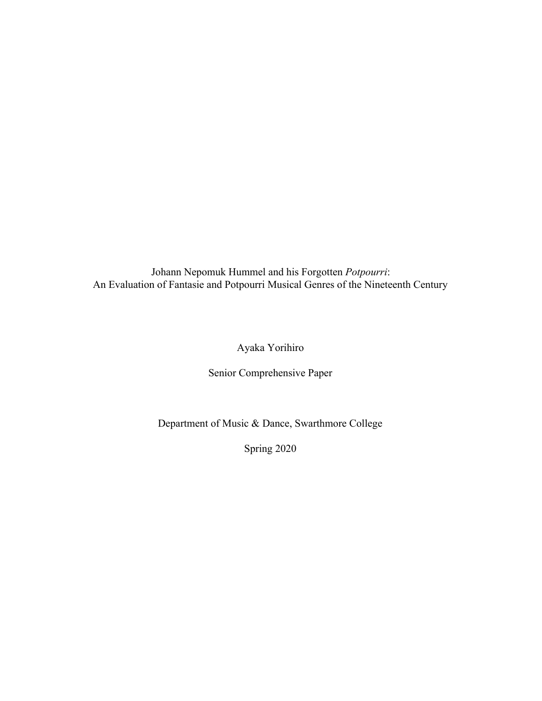Johann Nepomuk Hummel and his Forgotten *Potpourri*: An Evaluation of Fantasie and Potpourri Musical Genres of the Nineteenth Century

Ayaka Yorihiro

Senior Comprehensive Paper

Department of Music & Dance, Swarthmore College

Spring 2020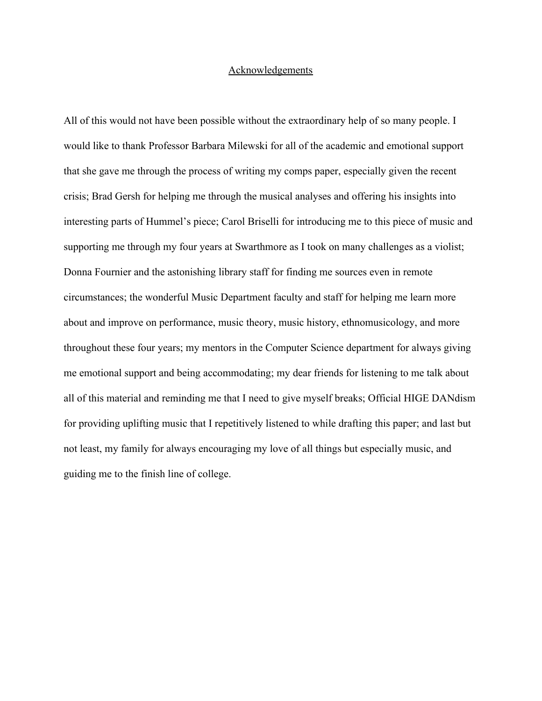## Acknowledgements

All of this would not have been possible without the extraordinary help of so many people. I would like to thank Professor Barbara Milewski for all of the academic and emotional support that she gave me through the process of writing my comps paper, especially given the recent crisis; Brad Gersh for helping me through the musical analyses and offering his insights into interesting parts of Hummel's piece; Carol Briselli for introducing me to this piece of music and supporting me through my four years at Swarthmore as I took on many challenges as a violist; Donna Fournier and the astonishing library staff for finding me sources even in remote circumstances; the wonderful Music Department faculty and staff for helping me learn more about and improve on performance, music theory, music history, ethnomusicology, and more throughout these four years; my mentors in the Computer Science department for always giving me emotional support and being accommodating; my dear friends for listening to me talk about all of this material and reminding me that I need to give myself breaks; Official HIGE DANdism for providing uplifting music that I repetitively listened to while drafting this paper; and last but not least, my family for always encouraging my love of all things but especially music, and guiding me to the finish line of college.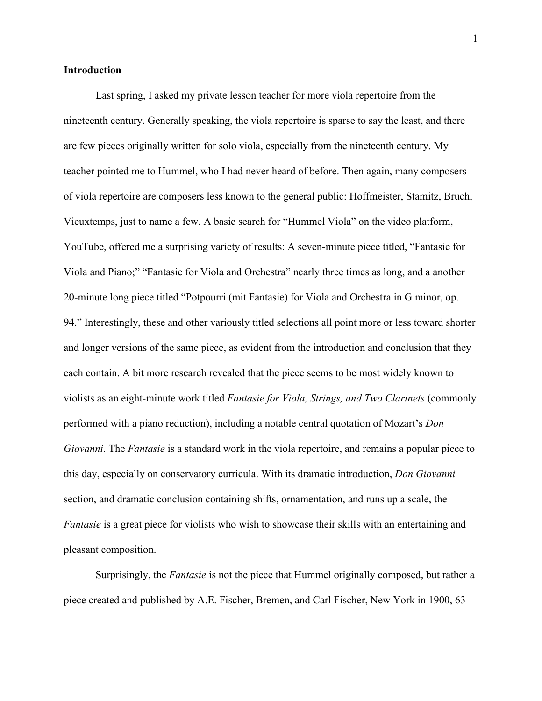## **Introduction**

Last spring, I asked my private lesson teacher for more viola repertoire from the nineteenth century. Generally speaking, the viola repertoire is sparse to say the least, and there are few pieces originally written for solo viola, especially from the nineteenth century. My teacher pointed me to Hummel, who I had never heard of before. Then again, many composers of viola repertoire are composers less known to the general public: Hoffmeister, Stamitz, Bruch, Vieuxtemps, just to name a few. A basic search for "Hummel Viola" on the video platform, YouTube, offered me a surprising variety of results: A seven-minute piece titled, "Fantasie for Viola and Piano;" "Fantasie for Viola and Orchestra" nearly three times as long, and a another 20-minute long piece titled "Potpourri (mit Fantasie) for Viola and Orchestra in G minor, op. 94." Interestingly, these and other variously titled selections all point more or less toward shorter and longer versions of the same piece, as evident from the introduction and conclusion that they each contain. A bit more research revealed that the piece seems to be most widely known to violists as an eight-minute work titled *Fantasie for Viola, Strings, and Two Clarinets* (commonly performed with a piano reduction), including a notable central quotation of Mozart's *Don Giovanni*. The *Fantasie* is a standard work in the viola repertoire, and remains a popular piece to this day, especially on conservatory curricula. With its dramatic introduction, *Don Giovanni* section, and dramatic conclusion containing shifts, ornamentation, and runs up a scale, the *Fantasie* is a great piece for violists who wish to showcase their skills with an entertaining and pleasant composition.

Surprisingly, the *Fantasie* is not the piece that Hummel originally composed, but rather a piece created and published by A.E. Fischer, Bremen, and Carl Fischer, New York in 1900, 63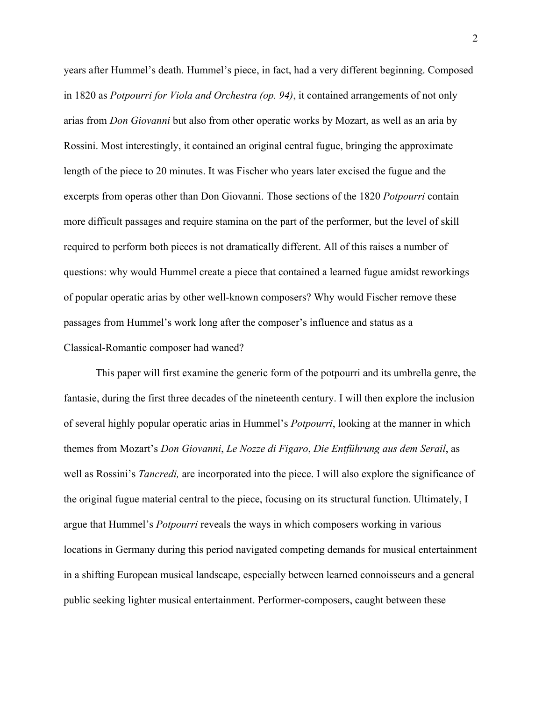years after Hummel's death. Hummel's piece, in fact, had a very different beginning. Composed in 1820 as *Potpourri for Viola and Orchestra (op. 94)*, it contained arrangements of not only arias from *Don Giovanni* but also from other operatic works by Mozart, as well as an aria by Rossini. Most interestingly, it contained an original central fugue, bringing the approximate length of the piece to 20 minutes. It was Fischer who years later excised the fugue and the excerpts from operas other than Don Giovanni. Those sections of the 1820 *Potpourri* contain more difficult passages and require stamina on the part of the performer, but the level of skill required to perform both pieces is not dramatically different. All of this raises a number of questions: why would Hummel create a piece that contained a learned fugue amidst reworkings of popular operatic arias by other well-known composers? Why would Fischer remove these passages from Hummel's work long after the composer's influence and status as a Classical-Romantic composer had waned?

This paper will first examine the generic form of the potpourri and its umbrella genre, the fantasie, during the first three decades of the nineteenth century. I will then explore the inclusion of several highly popular operatic arias in Hummel's *Potpourri*, looking at the manner in which themes from Mozart's *Don Giovanni*, *Le Nozze di Figaro*, *Die Entführung aus dem Serail*, as well as Rossini's *Tancredi,* are incorporated into the piece. I will also explore the significance of the original fugue material central to the piece, focusing on its structural function. Ultimately, I argue that Hummel's *Potpourri* reveals the ways in which composers working in various locations in Germany during this period navigated competing demands for musical entertainment in a shifting European musical landscape, especially between learned connoisseurs and a general public seeking lighter musical entertainment. Performer-composers, caught between these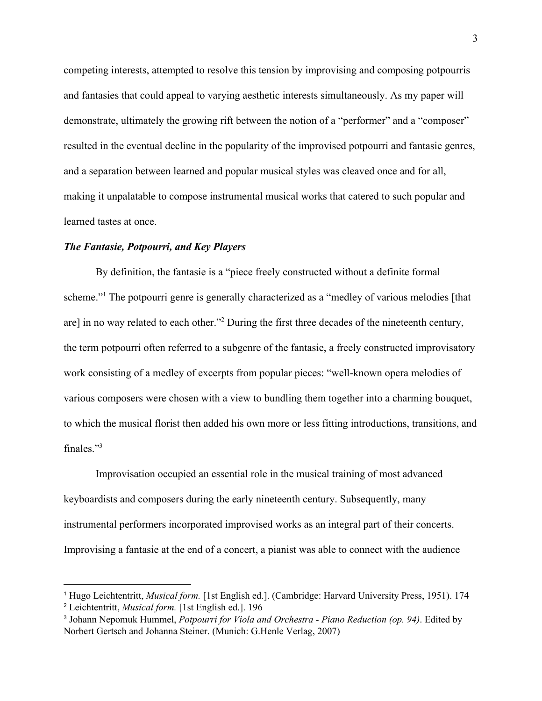competing interests, attempted to resolve this tension by improvising and composing potpourris and fantasies that could appeal to varying aesthetic interests simultaneously. As my paper will demonstrate, ultimately the growing rift between the notion of a "performer" and a "composer" resulted in the eventual decline in the popularity of the improvised potpourri and fantasie genres, and a separation between learned and popular musical styles was cleaved once and for all, making it unpalatable to compose instrumental musical works that catered to such popular and learned tastes at once.

#### *The Fantasie, Potpourri, and Key Players*

By definition, the fantasie is a "piece freely constructed without a definite formal scheme."<sup>1</sup> The potpourri genre is generally characterized as a "medley of various melodies [that are] in no way related to each other."<sup>2</sup> During the first three decades of the nineteenth century, the term potpourri often referred to a subgenre of the fantasie, a freely constructed improvisatory work consisting of a medley of excerpts from popular pieces: "well-known opera melodies of various composers were chosen with a view to bundling them together into a charming bouquet, to which the musical florist then added his own more or less fitting introductions, transitions, and finales."<sup>3</sup>

Improvisation occupied an essential role in the musical training of most advanced keyboardists and composers during the early nineteenth century. Subsequently, many instrumental performers incorporated improvised works as an integral part of their concerts. Improvising a fantasie at the end of a concert, a pianist was able to connect with the audience

<sup>1</sup> Hugo Leichtentritt, *Musical form.* [1st English ed.]. (Cambridge: Harvard University Press, 1951). 174 <sup>2</sup> Leichtentritt, *Musical form.* [1st English ed.]. 196

<sup>3</sup> Johann Nepomuk Hummel, *Potpourri for Viola and Orchestra - Piano Reduction (op. 94)*. Edited by Norbert Gertsch and Johanna Steiner. (Munich: G.Henle Verlag, 2007)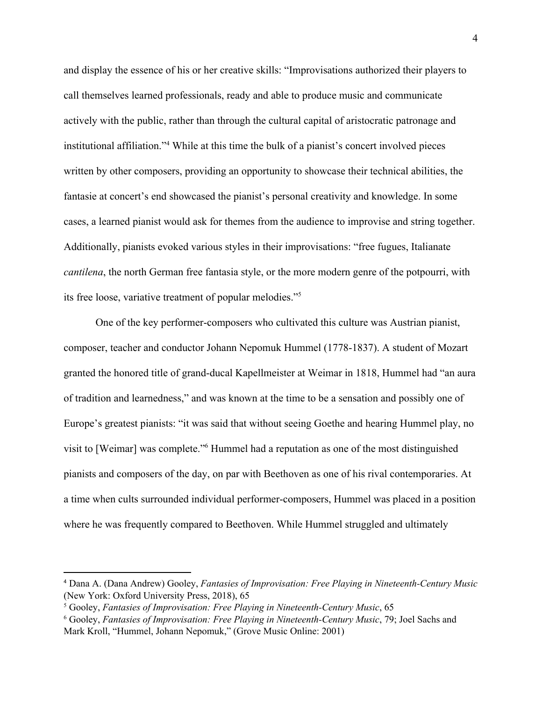and display the essence of his or her creative skills: "Improvisations authorized their players to call themselves learned professionals, ready and able to produce music and communicate actively with the public, rather than through the cultural capital of aristocratic patronage and institutional affiliation."<sup>4</sup> While at this time the bulk of a pianist's concert involved pieces written by other composers, providing an opportunity to showcase their technical abilities, the fantasie at concert's end showcased the pianist's personal creativity and knowledge. In some cases, a learned pianist would ask for themes from the audience to improvise and string together. Additionally, pianists evoked various styles in their improvisations: "free fugues, Italianate *cantilena*, the north German free fantasia style, or the more modern genre of the potpourri, with its free loose, variative treatment of popular melodies."<sup>5</sup>

One of the key performer-composers who cultivated this culture was Austrian pianist, composer, teacher and conductor Johann Nepomuk Hummel (1778-1837). A student of Mozart granted the honored title of grand-ducal Kapellmeister at Weimar in 1818, Hummel had "an aura of tradition and learnedness," and was known at the time to be a sensation and possibly one of Europe's greatest pianists: "it was said that without seeing Goethe and hearing Hummel play, no visit to [Weimar] was complete."<sup>6</sup> Hummel had a reputation as one of the most distinguished pianists and composers of the day, on par with Beethoven as one of his rival contemporaries. At a time when cults surrounded individual performer-composers, Hummel was placed in a position where he was frequently compared to Beethoven. While Hummel struggled and ultimately

<sup>4</sup> Dana A. (Dana Andrew) Gooley, *Fantasies of Improvisation: Free Playing in Nineteenth-Century Music* (New York: Oxford University Press, 2018), 65

<sup>5</sup> Gooley, *Fantasies of Improvisation: Free Playing in Nineteenth-Century Music*, 65

<sup>6</sup> Gooley, *Fantasies of Improvisation: Free Playing in Nineteenth-Century Music*, 79; Joel Sachs and Mark Kroll, "Hummel, Johann Nepomuk," (Grove Music Online: 2001)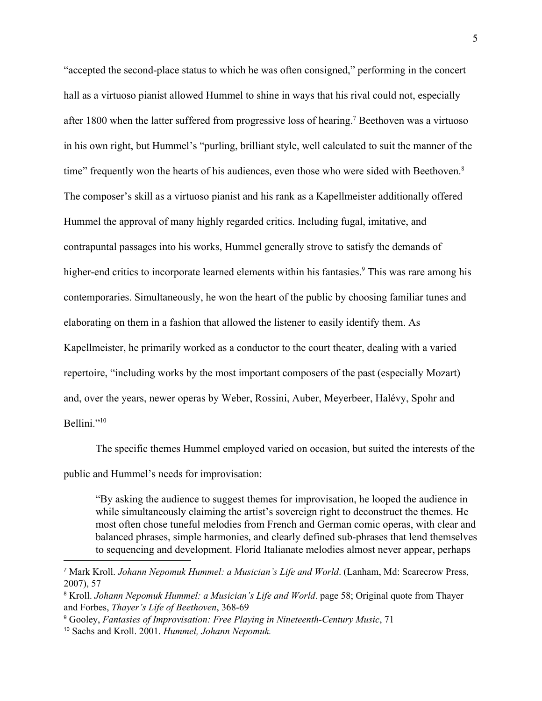"accepted the second-place status to which he was often consigned," performing in the concert hall as a virtuoso pianist allowed Hummel to shine in ways that his rival could not, especially after 1800 when the latter suffered from progressive loss of hearing.<sup>7</sup> Beethoven was a virtuoso in his own right, but Hummel's "purling, brilliant style, well calculated to suit the manner of the time" frequently won the hearts of his audiences, even those who were sided with Beethoven.<sup>8</sup> The composer's skill as a virtuoso pianist and his rank as a Kapellmeister additionally offered Hummel the approval of many highly regarded critics. Including fugal, imitative, and contrapuntal passages into his works, Hummel generally strove to satisfy the demands of higher-end critics to incorporate learned elements within his fantasies.<sup>9</sup> This was rare among his contemporaries. Simultaneously, he won the heart of the public by choosing familiar tunes and elaborating on them in a fashion that allowed the listener to easily identify them. As Kapellmeister, he primarily worked as a conductor to the court theater, dealing with a varied repertoire, "including works by the most important composers of the past (especially Mozart) and, over the years, newer operas by Weber, Rossini, Auber, Meyerbeer, Halévy, Spohr and Bellini<sup>"10</sup>

The specific themes Hummel employed varied on occasion, but suited the interests of the public and Hummel's needs for improvisation:

"By asking the audience to suggest themes for improvisation, he looped the audience in while simultaneously claiming the artist's sovereign right to deconstruct the themes. He most often chose tuneful melodies from French and German comic operas, with clear and balanced phrases, simple harmonies, and clearly defined sub-phrases that lend themselves to sequencing and development. Florid Italianate melodies almost never appear, perhaps

<sup>7</sup> Mark Kroll. *Johann Nepomuk Hummel: a Musician's Life and World*. (Lanham, Md: Scarecrow Press, 2007), 57

<sup>8</sup> Kroll. *Johann Nepomuk Hummel: a Musician's Life and World*. page 58; Original quote from Thayer and Forbes, *Thayer's Life of Beethoven*, 368-69

<sup>9</sup> Gooley, *Fantasies of Improvisation: Free Playing in Nineteenth-Century Music*, 71

<sup>10</sup> Sachs and Kroll. 2001. *Hummel, Johann Nepomuk.*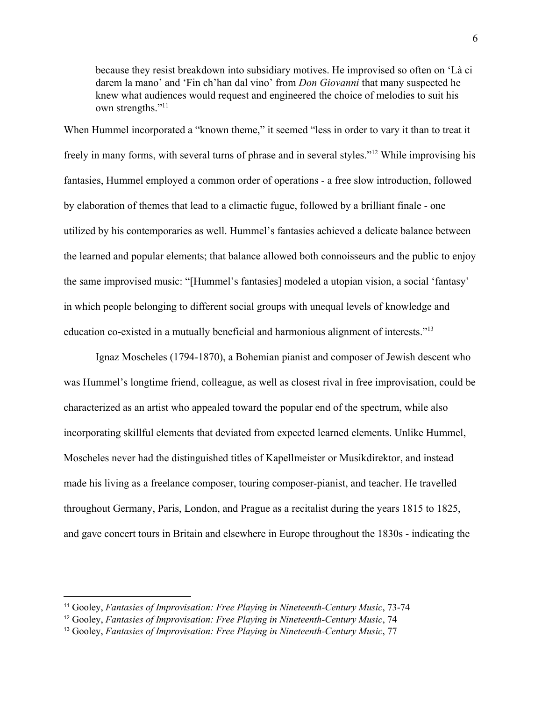because they resist breakdown into subsidiary motives. He improvised so often on 'Là ci darem la mano' and 'Fin ch'han dal vino' from *Don Giovanni* that many suspected he knew what audiences would request and engineered the choice of melodies to suit his own strengths."<sup>11</sup>

When Hummel incorporated a "known theme," it seemed "less in order to vary it than to treat it freely in many forms, with several turns of phrase and in several styles."<sup>12</sup> While improvising his fantasies, Hummel employed a common order of operations - a free slow introduction, followed by elaboration of themes that lead to a climactic fugue, followed by a brilliant finale - one utilized by his contemporaries as well. Hummel's fantasies achieved a delicate balance between the learned and popular elements; that balance allowed both connoisseurs and the public to enjoy the same improvised music: "[Hummel's fantasies] modeled a utopian vision, a social 'fantasy' in which people belonging to different social groups with unequal levels of knowledge and education co-existed in a mutually beneficial and harmonious alignment of interests."<sup>13</sup>

Ignaz Moscheles (1794-1870), a Bohemian pianist and composer of Jewish descent who was Hummel's longtime friend, colleague, as well as closest rival in free improvisation, could be characterized as an artist who appealed toward the popular end of the spectrum, while also incorporating skillful elements that deviated from expected learned elements. Unlike Hummel, Moscheles never had the distinguished titles of Kapellmeister or Musikdirektor, and instead made his living as a freelance composer, touring composer-pianist, and teacher. He travelled throughout Germany, Paris, London, and Prague as a recitalist during the years 1815 to 1825, and gave concert tours in Britain and elsewhere in Europe throughout the 1830s - indicating the

<sup>11</sup> Gooley, *Fantasies of Improvisation: Free Playing in Nineteenth-Century Music*, 73-74

<sup>12</sup> Gooley, *Fantasies of Improvisation: Free Playing in Nineteenth-Century Music*, 74

<sup>13</sup> Gooley, *Fantasies of Improvisation: Free Playing in Nineteenth-Century Music*, 77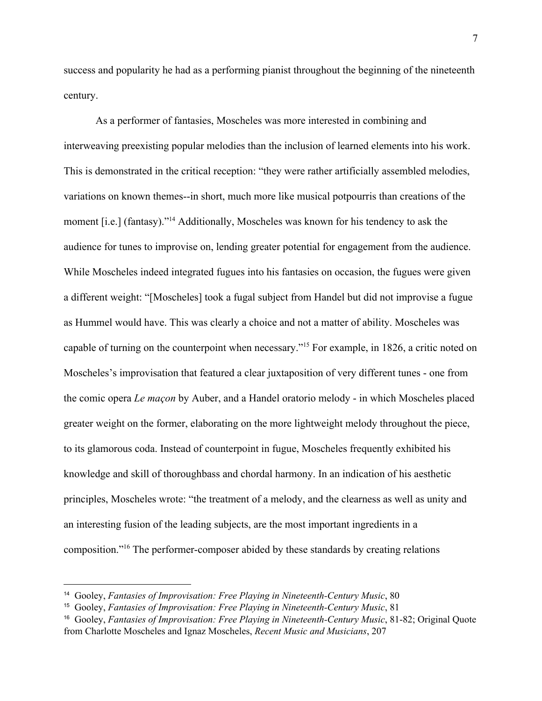success and popularity he had as a performing pianist throughout the beginning of the nineteenth century.

As a performer of fantasies, Moscheles was more interested in combining and interweaving preexisting popular melodies than the inclusion of learned elements into his work. This is demonstrated in the critical reception: "they were rather artificially assembled melodies, variations on known themes--in short, much more like musical potpourris than creations of the moment  $[i.e.]$  (fantasy)."<sup>14</sup> Additionally, Moscheles was known for his tendency to ask the audience for tunes to improvise on, lending greater potential for engagement from the audience. While Moscheles indeed integrated fugues into his fantasies on occasion, the fugues were given a different weight: "[Moscheles] took a fugal subject from Handel but did not improvise a fugue as Hummel would have. This was clearly a choice and not a matter of ability. Moscheles was capable of turning on the counterpoint when necessary."<sup>15</sup> For example, in 1826, a critic noted on Moscheles's improvisation that featured a clear juxtaposition of very different tunes - one from the comic opera *Le maçon* by Auber, and a Handel oratorio melody - in which Moscheles placed greater weight on the former, elaborating on the more lightweight melody throughout the piece, to its glamorous coda. Instead of counterpoint in fugue, Moscheles frequently exhibited his knowledge and skill of thoroughbass and chordal harmony. In an indication of his aesthetic principles, Moscheles wrote: "the treatment of a melody, and the clearness as well as unity and an interesting fusion of the leading subjects, are the most important ingredients in a composition."<sup>16</sup> The performer-composer abided by these standards by creating relations

<sup>14</sup> Gooley, *Fantasies of Improvisation: Free Playing in Nineteenth-Century Music*, 80

<sup>15</sup> Gooley, *Fantasies of Improvisation: Free Playing in Nineteenth-Century Music*, 81

<sup>16</sup> Gooley, *Fantasies of Improvisation: Free Playing in Nineteenth-Century Music*, 81-82; Original Quote from Charlotte Moscheles and Ignaz Moscheles, *Recent Music and Musicians*, 207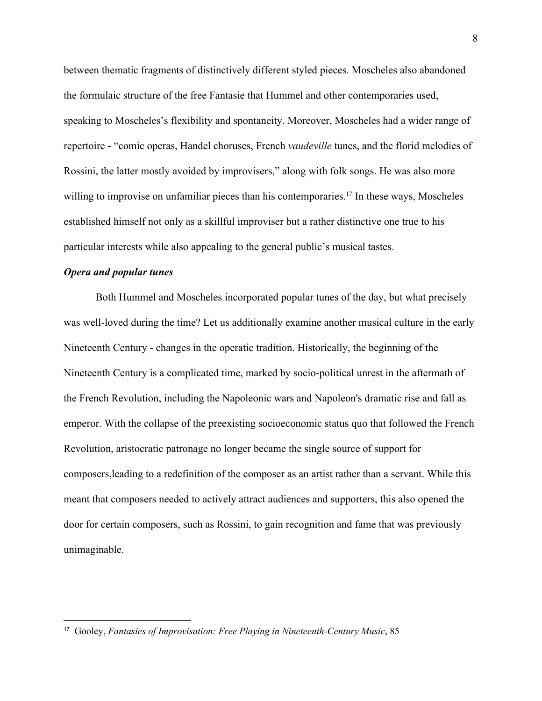between thematic fragments of distinctively different styled pieces. Moscheles also abandoned the formulaic structure of the free Fantasie that Hummel and other contemporaries used, speaking to Moscheles's flexibility and spontaneity. Moreover, Moscheles had a wider range of repertoire - "comic operas, Handel choruses, French *vaudeville* tunes, and the florid melodies of Rossini, the latter mostly avoided by improvisers," along with folk songs. He was also more willing to improvise on unfamiliar pieces than his contemporaries.<sup>17</sup> In these ways, Moscheles established himself not only as a skillful improviser but a rather distinctive one true to his particular interests while also appealing to the general public's musical tastes.

# *Opera and popular tunes*

Both Hummel and Moscheles incorporated popular tunes of the day, but what precisely was well-loved during the time? Let us additionally examine another musical culture in the early Nineteenth Century - changes in the operatic tradition. Historically, the beginning of the Nineteenth Century is a complicated time, marked by socio-political unrest in the aftermath of the French Revolution, including the Napoleonic wars and Napoleon's dramatic rise and fall as emperor. With the collapse of the preexisting socioeconomic status quo that followed the French Revolution, aristocratic patronage no longer became the single source of support for composers,leading to a redefinition of the composer as an artist rather than a servant. While this meant that composers needed to actively attract audiences and supporters, this also opened the door for certain composers, such as Rossini, to gain recognition and fame that was previously unimaginable.

<sup>17</sup> Gooley, *Fantasies of Improvisation: Free Playing in Nineteenth-Century Music*, 85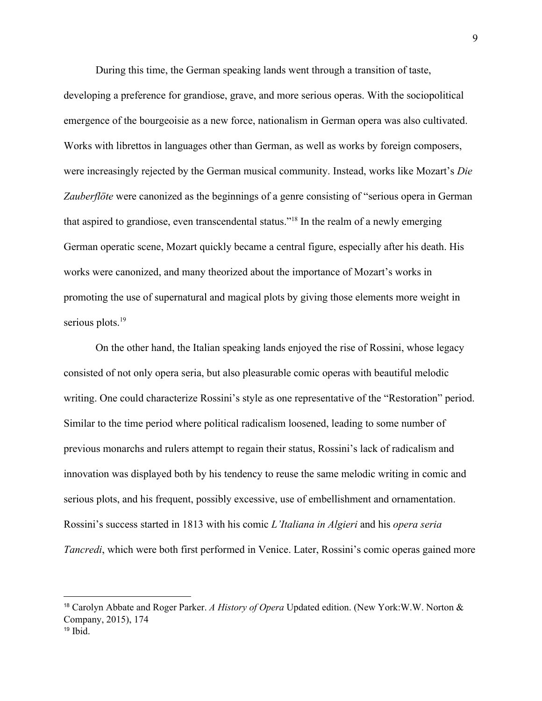During this time, the German speaking lands went through a transition of taste,

developing a preference for grandiose, grave, and more serious operas. With the sociopolitical emergence of the bourgeoisie as a new force, nationalism in German opera was also cultivated. Works with librettos in languages other than German, as well as works by foreign composers, were increasingly rejected by the German musical community. Instead, works like Mozart's *Die Zauberflöte* were canonized as the beginnings of a genre consisting of "serious opera in German that aspired to grandiose, even transcendental status."<sup>18</sup> In the realm of a newly emerging German operatic scene, Mozart quickly became a central figure, especially after his death. His works were canonized, and many theorized about the importance of Mozart's works in promoting the use of supernatural and magical plots by giving those elements more weight in serious plots.<sup>19</sup>

On the other hand, the Italian speaking lands enjoyed the rise of Rossini, whose legacy consisted of not only opera seria, but also pleasurable comic operas with beautiful melodic writing. One could characterize Rossini's style as one representative of the "Restoration" period. Similar to the time period where political radicalism loosened, leading to some number of previous monarchs and rulers attempt to regain their status, Rossini's lack of radicalism and innovation was displayed both by his tendency to reuse the same melodic writing in comic and serious plots, and his frequent, possibly excessive, use of embellishment and ornamentation. Rossini's success started in 1813 with his comic *L'Italiana in Algieri* and his *opera seria Tancredi*, which were both first performed in Venice. Later, Rossini's comic operas gained more

<sup>18</sup> Carolyn Abbate and Roger Parker. *A History of Opera* Updated edition. (New York:W.W. Norton & Company, 2015), 174  $19$  Ibid.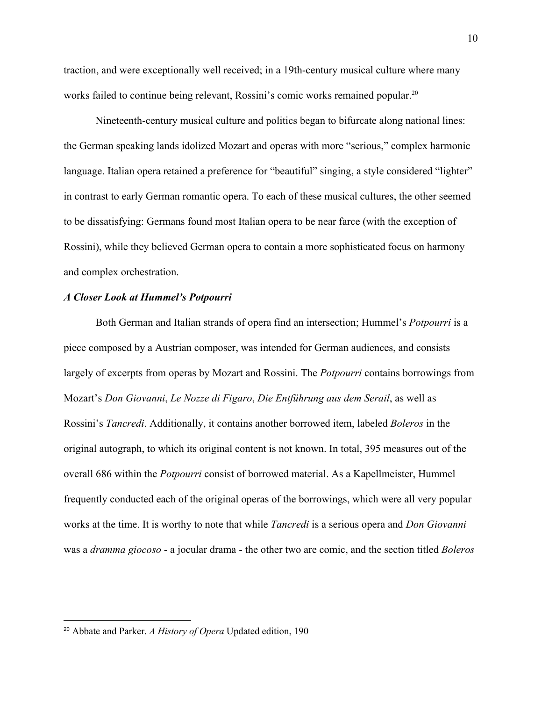traction, and were exceptionally well received; in a 19th-century musical culture where many works failed to continue being relevant, Rossini's comic works remained popular.<sup>20</sup>

Nineteenth-century musical culture and politics began to bifurcate along national lines: the German speaking lands idolized Mozart and operas with more "serious," complex harmonic language. Italian opera retained a preference for "beautiful" singing, a style considered "lighter" in contrast to early German romantic opera. To each of these musical cultures, the other seemed to be dissatisfying: Germans found most Italian opera to be near farce (with the exception of Rossini), while they believed German opera to contain a more sophisticated focus on harmony and complex orchestration.

#### *A Closer Look at Hummel's Potpourri*

Both German and Italian strands of opera find an intersection; Hummel's *Potpourri* is a piece composed by a Austrian composer, was intended for German audiences, and consists largely of excerpts from operas by Mozart and Rossini. The *Potpourri* contains borrowings from Mozart's *Don Giovanni*, *Le Nozze di Figaro*, *Die Entführung aus dem Serail*, as well as Rossini's *Tancredi*. Additionally, it contains another borrowed item, labeled *Boleros* in the original autograph, to which its original content is not known. In total, 395 measures out of the overall 686 within the *Potpourri* consist of borrowed material. As a Kapellmeister, Hummel frequently conducted each of the original operas of the borrowings, which were all very popular works at the time. It is worthy to note that while *Tancredi* is a serious opera and *Don Giovanni* was a *dramma giocoso* - a jocular drama - the other two are comic, and the section titled *Boleros*

<sup>20</sup> Abbate and Parker. *A History of Opera* Updated edition, 190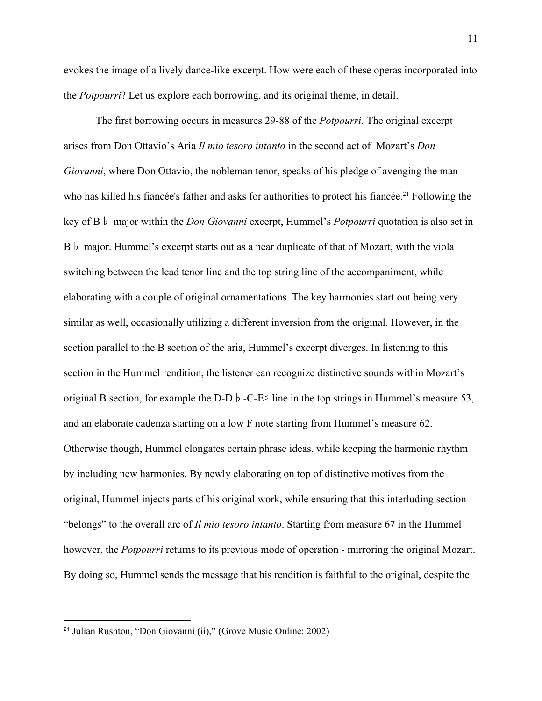evokes the image of a lively dance-like excerpt. How were each of these operas incorporated into the *Potpourri*? Let us explore each borrowing, and its original theme, in detail.

The first borrowing occurs in measures 29-88 of the *Potpourri*. The original excerpt arises from Don Ottavio's Aria *Il mio tesoro intanto* in the second act of Mozart's *Don Giovanni*, where Don Ottavio, the nobleman tenor, speaks of his pledge of avenging the man who has killed his fiancée's father and asks for authorities to protect his fiancée.<sup>21</sup> Following the key of B♭ major within the *Don Giovanni* excerpt, Hummel's *Potpourri* quotation is also set in B♭ major. Hummel's excerpt starts out as a near duplicate of that of Mozart, with the viola switching between the lead tenor line and the top string line of the accompaniment, while elaborating with a couple of original ornamentations. The key harmonies start out being very similar as well, occasionally utilizing a different inversion from the original. However, in the section parallel to the B section of the aria, Hummel's excerpt diverges. In listening to this section in the Hummel rendition, the listener can recognize distinctive sounds within Mozart's original B section, for example the D-D  $\flat$  -C-E $\natural$  line in the top strings in Hummel's measure 53, and an elaborate cadenza starting on a low F note starting from Hummel's measure 62. Otherwise though, Hummel elongates certain phrase ideas, while keeping the harmonic rhythm by including new harmonies. By newly elaborating on top of distinctive motives from the original, Hummel injects parts of his original work, while ensuring that this interluding section "belongs" to the overall arc of *Il mio tesoro intanto*. Starting from measure 67 in the Hummel however, the *Potpourri* returns to its previous mode of operation - mirroring the original Mozart. By doing so, Hummel sends the message that his rendition is faithful to the original, despite the

<sup>21</sup> Julian Rushton, "Don Giovanni (ii)," (Grove Music Online: 2002)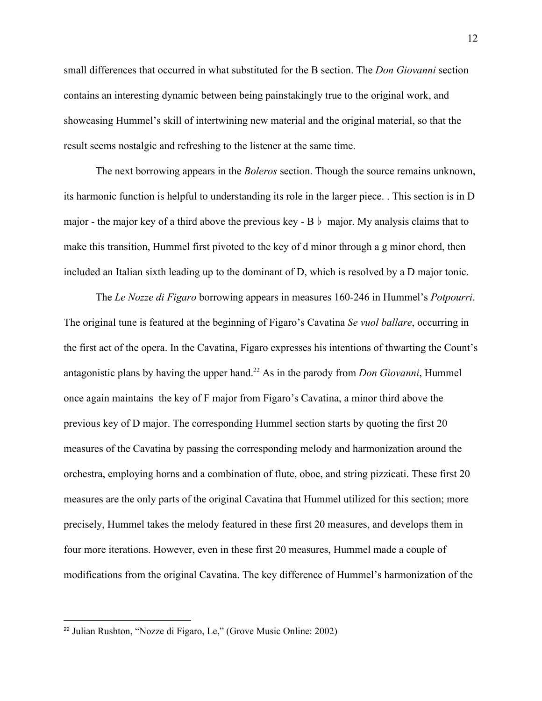small differences that occurred in what substituted for the B section. The *Don Giovanni* section contains an interesting dynamic between being painstakingly true to the original work, and showcasing Hummel's skill of intertwining new material and the original material, so that the result seems nostalgic and refreshing to the listener at the same time.

The next borrowing appears in the *Boleros* section. Though the source remains unknown, its harmonic function is helpful to understanding its role in the larger piece. . This section is in D major - the major key of a third above the previous key - B  $\flat$  major. My analysis claims that to make this transition, Hummel first pivoted to the key of d minor through a g minor chord, then included an Italian sixth leading up to the dominant of D, which is resolved by a D major tonic.

The *Le Nozze di Figaro* borrowing appears in measures 160-246 in Hummel's *Potpourri*. The original tune is featured at the beginning of Figaro's Cavatina *Se vuol ballare*, occurring in the first act of the opera. In the Cavatina, Figaro expresses his intentions of thwarting the Count's antagonistic plans by having the upper hand.<sup>22</sup> As in the parody from *Don Giovanni*, Hummel once again maintains the key of F major from Figaro's Cavatina, a minor third above the previous key of D major. The corresponding Hummel section starts by quoting the first 20 measures of the Cavatina by passing the corresponding melody and harmonization around the orchestra, employing horns and a combination of flute, oboe, and string pizzicati. These first 20 measures are the only parts of the original Cavatina that Hummel utilized for this section; more precisely, Hummel takes the melody featured in these first 20 measures, and develops them in four more iterations. However, even in these first 20 measures, Hummel made a couple of modifications from the original Cavatina. The key difference of Hummel's harmonization of the

<sup>22</sup> Julian Rushton, "Nozze di Figaro, Le," (Grove Music Online: 2002)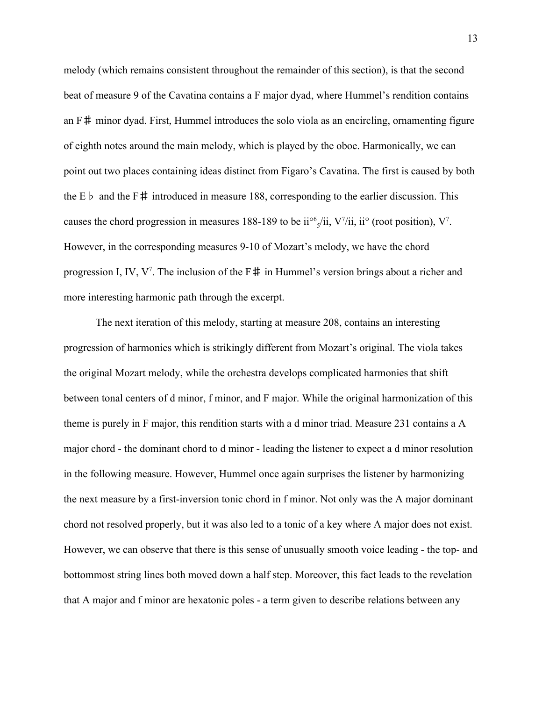melody (which remains consistent throughout the remainder of this section), is that the second beat of measure 9 of the Cavatina contains a F major dyad, where Hummel's rendition contains an F♯ minor dyad. First, Hummel introduces the solo viola as an encircling, ornamenting figure of eighth notes around the main melody, which is played by the oboe. Harmonically, we can point out two places containing ideas distinct from Figaro's Cavatina. The first is caused by both the E  $\flat$  and the F  $\sharp$  introduced in measure 188, corresponding to the earlier discussion. This causes the chord progression in measures 188-189 to be  $\mathbf{ii}^{\circ}$  (ii, V<sup>7</sup>/ii,  $\mathbf{ii}^{\circ}$  (root position), V<sup>7</sup>. However, in the corresponding measures 9-10 of Mozart's melody, we have the chord progression I, IV, V<sup>7</sup>. The inclusion of the F# in Hummel's version brings about a richer and more interesting harmonic path through the excerpt.

The next iteration of this melody, starting at measure 208, contains an interesting progression of harmonies which is strikingly different from Mozart's original. The viola takes the original Mozart melody, while the orchestra develops complicated harmonies that shift between tonal centers of d minor, f minor, and F major. While the original harmonization of this theme is purely in F major, this rendition starts with a d minor triad. Measure 231 contains a A major chord - the dominant chord to d minor - leading the listener to expect a d minor resolution in the following measure. However, Hummel once again surprises the listener by harmonizing the next measure by a first-inversion tonic chord in f minor. Not only was the A major dominant chord not resolved properly, but it was also led to a tonic of a key where A major does not exist. However, we can observe that there is this sense of unusually smooth voice leading - the top- and bottommost string lines both moved down a half step. Moreover, this fact leads to the revelation that A major and f minor are hexatonic poles - a term given to describe relations between any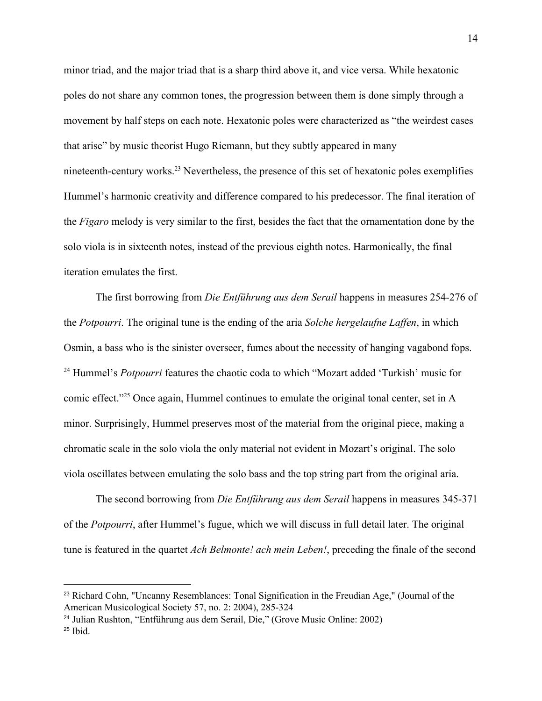minor triad, and the major triad that is a sharp third above it, and vice versa. While hexatonic poles do not share any common tones, the progression between them is done simply through a movement by half steps on each note. Hexatonic poles were characterized as "the weirdest cases that arise" by music theorist Hugo Riemann, but they subtly appeared in many nineteenth-century works.<sup>23</sup> Nevertheless, the presence of this set of hexatonic poles exemplifies Hummel's harmonic creativity and difference compared to his predecessor. The final iteration of the *Figaro* melody is very similar to the first, besides the fact that the ornamentation done by the solo viola is in sixteenth notes, instead of the previous eighth notes. Harmonically, the final iteration emulates the first.

The first borrowing from *Die Entführung aus dem Serail* happens in measures 254-276 of the *Potpourri*. The original tune is the ending of the aria *Solche hergelaufne Laffen*, in which Osmin, a bass who is the sinister overseer, fumes about the necessity of hanging vagabond fops. <sup>24</sup> Hummel's *Potpourri* features the chaotic coda to which "Mozart added 'Turkish' music for comic effect."<sup>25</sup> Once again, Hummel continues to emulate the original tonal center, set in A minor. Surprisingly, Hummel preserves most of the material from the original piece, making a chromatic scale in the solo viola the only material not evident in Mozart's original. The solo viola oscillates between emulating the solo bass and the top string part from the original aria.

The second borrowing from *Die Entführung aus dem Serail* happens in measures 345-371 of the *Potpourri*, after Hummel's fugue, which we will discuss in full detail later. The original tune is featured in the quartet *Ach Belmonte! ach mein Leben!*, preceding the finale of the second

<sup>&</sup>lt;sup>23</sup> Richard Cohn, "Uncanny Resemblances: Tonal Signification in the Freudian Age," (Journal of the American Musicological Society 57, no. 2: 2004), 285-324

<sup>24</sup> Julian Rushton, "Entführung aus dem Serail, Die," (Grove Music Online: 2002)  $25$  Ibid.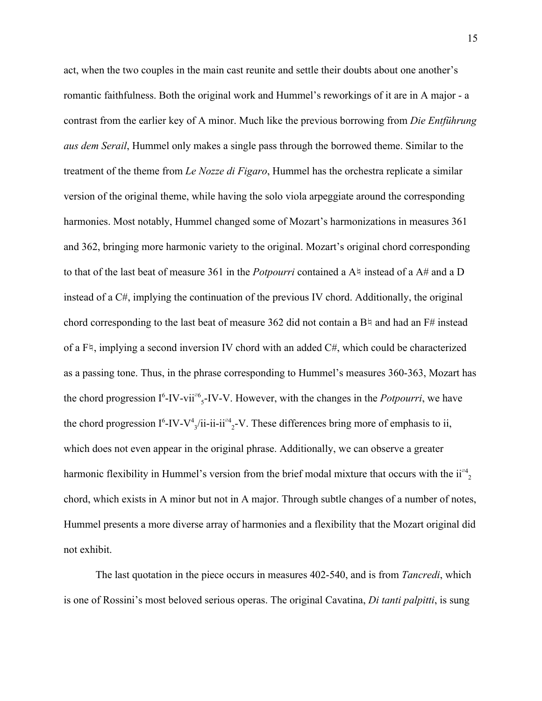act, when the two couples in the main cast reunite and settle their doubts about one another's romantic faithfulness. Both the original work and Hummel's reworkings of it are in A major - a contrast from the earlier key of A minor. Much like the previous borrowing from *Die Entführung aus dem Serail*, Hummel only makes a single pass through the borrowed theme. Similar to the treatment of the theme from *Le Nozze di Figaro*, Hummel has the orchestra replicate a similar version of the original theme, while having the solo viola arpeggiate around the corresponding harmonies. Most notably, Hummel changed some of Mozart's harmonizations in measures 361 and 362, bringing more harmonic variety to the original. Mozart's original chord corresponding to that of the last beat of measure 361 in the *Potpourri* contained a A♮ instead of a A# and a D instead of a C#, implying the continuation of the previous IV chord. Additionally, the original chord corresponding to the last beat of measure 362 did not contain a B $\natural$  and had an F# instead of a  $F\natural$ , implying a second inversion IV chord with an added  $C\#$ , which could be characterized as a passing tone. Thus, in the phrase corresponding to Hummel's measures 360-363, Mozart has the chord progression I<sup>6</sup>-IV-vii<sup>∞</sup><sub>5</sub>-IV-V. However, with the changes in the *Potpourri*, we have the chord progression  $I^6$ -IV-V<sup>4</sup><sub>3</sub>/ii-ii-ii<sup>∞4</sup><sub>2</sub>-V. These differences bring more of emphasis to ii, which does not even appear in the original phrase. Additionally, we can observe a greater harmonic flexibility in Hummel's version from the brief modal mixture that occurs with the  $i^{2}$ <sub>2</sub> chord, which exists in A minor but not in A major. Through subtle changes of a number of notes, Hummel presents a more diverse array of harmonies and a flexibility that the Mozart original did not exhibit.

The last quotation in the piece occurs in measures 402-540, and is from *Tancredi*, which is one of Rossini's most beloved serious operas. The original Cavatina, *Di tanti palpitti*, is sung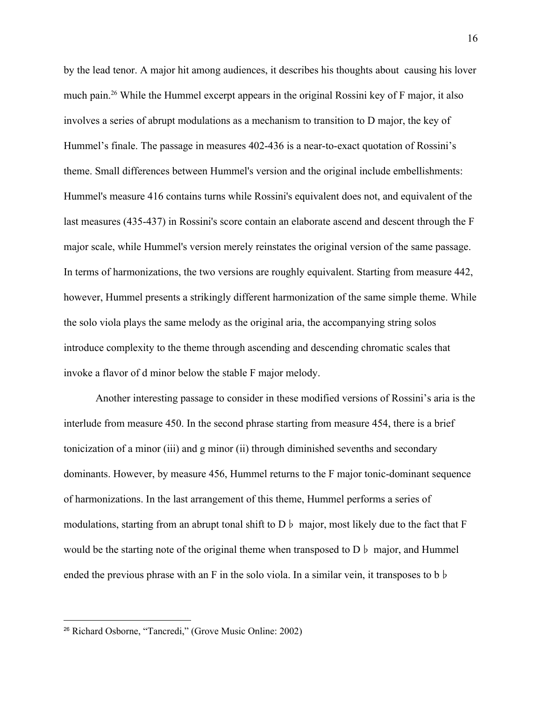by the lead tenor. A major hit among audiences, it describes his thoughts about causing his lover much pain.<sup>26</sup> While the Hummel excerpt appears in the original Rossini key of  $F$  major, it also involves a series of abrupt modulations as a mechanism to transition to D major, the key of Hummel's finale. The passage in measures 402-436 is a near-to-exact quotation of Rossini's theme. Small differences between Hummel's version and the original include embellishments: Hummel's measure 416 contains turns while Rossini's equivalent does not, and equivalent of the last measures (435-437) in Rossini's score contain an elaborate ascend and descent through the F major scale, while Hummel's version merely reinstates the original version of the same passage. In terms of harmonizations, the two versions are roughly equivalent. Starting from measure 442, however, Hummel presents a strikingly different harmonization of the same simple theme. While the solo viola plays the same melody as the original aria, the accompanying string solos introduce complexity to the theme through ascending and descending chromatic scales that invoke a flavor of d minor below the stable F major melody.

Another interesting passage to consider in these modified versions of Rossini's aria is the interlude from measure 450. In the second phrase starting from measure 454, there is a brief tonicization of a minor (iii) and g minor (ii) through diminished sevenths and secondary dominants. However, by measure 456, Hummel returns to the F major tonic-dominant sequence of harmonizations. In the last arrangement of this theme, Hummel performs a series of modulations, starting from an abrupt tonal shift to D  $\flat$  major, most likely due to the fact that F would be the starting note of the original theme when transposed to  $D \, \flat$  major, and Hummel ended the previous phrase with an F in the solo viola. In a similar vein, it transposes to b  $\flat$ 

<sup>26</sup> Richard Osborne, "Tancredi," (Grove Music Online: 2002)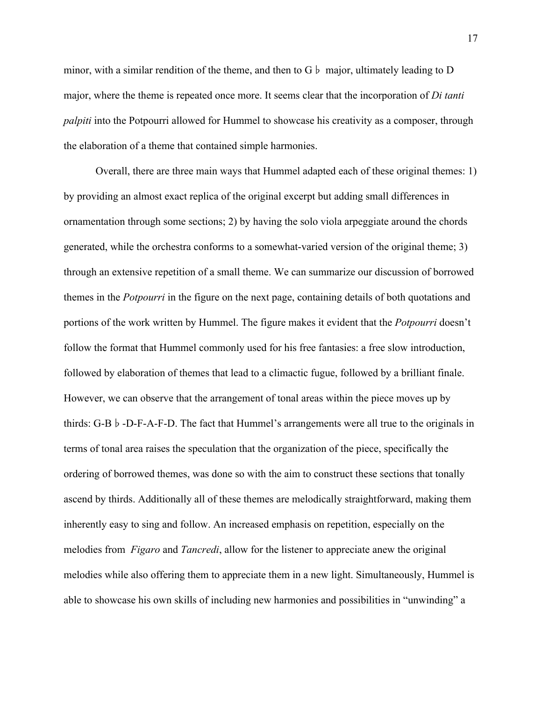minor, with a similar rendition of the theme, and then to G  $\flat$  major, ultimately leading to D major, where the theme is repeated once more. It seems clear that the incorporation of *Di tanti palpiti* into the Potpourri allowed for Hummel to showcase his creativity as a composer, through the elaboration of a theme that contained simple harmonies.

Overall, there are three main ways that Hummel adapted each of these original themes: 1) by providing an almost exact replica of the original excerpt but adding small differences in ornamentation through some sections; 2) by having the solo viola arpeggiate around the chords generated, while the orchestra conforms to a somewhat-varied version of the original theme; 3) through an extensive repetition of a small theme. We can summarize our discussion of borrowed themes in the *Potpourri* in the figure on the next page, containing details of both quotations and portions of the work written by Hummel. The figure makes it evident that the *Potpourri* doesn't follow the format that Hummel commonly used for his free fantasies: a free slow introduction, followed by elaboration of themes that lead to a climactic fugue, followed by a brilliant finale. However, we can observe that the arrangement of tonal areas within the piece moves up by thirds: G-B♭-D-F-A-F-D. The fact that Hummel's arrangements were all true to the originals in terms of tonal area raises the speculation that the organization of the piece, specifically the ordering of borrowed themes, was done so with the aim to construct these sections that tonally ascend by thirds. Additionally all of these themes are melodically straightforward, making them inherently easy to sing and follow. An increased emphasis on repetition, especially on the melodies from *Figaro* and *Tancredi*, allow for the listener to appreciate anew the original melodies while also offering them to appreciate them in a new light. Simultaneously, Hummel is able to showcase his own skills of including new harmonies and possibilities in "unwinding" a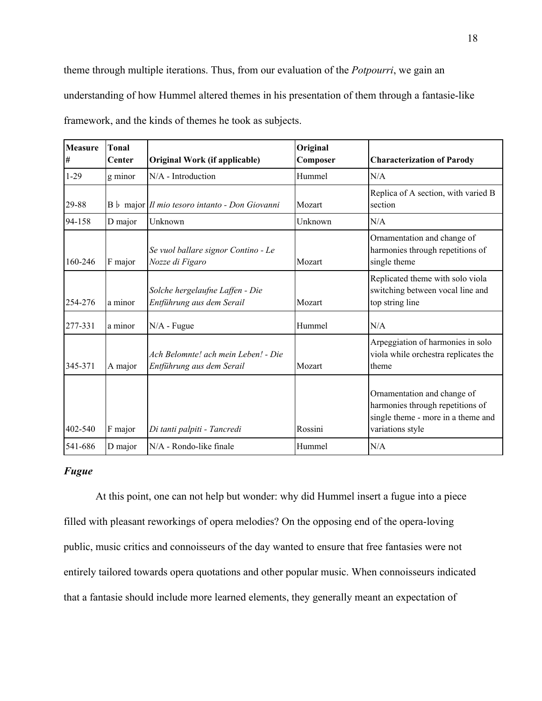theme through multiple iterations. Thus, from our evaluation of the *Potpourri*, we gain an understanding of how Hummel altered themes in his presentation of them through a fantasie-like framework, and the kinds of themes he took as subjects.

| <b>Measure</b> | <b>Tonal</b>  |                                                                  | Original |                                                                                                                           |
|----------------|---------------|------------------------------------------------------------------|----------|---------------------------------------------------------------------------------------------------------------------------|
| #              | <b>Center</b> | Original Work (if applicable)                                    | Composer | <b>Characterization of Parody</b>                                                                                         |
| $1-29$         | g minor       | N/A - Introduction                                               | Hummel   | N/A                                                                                                                       |
| 29-88          |               | $B \, \flat$ major <i>Il mio tesoro intanto - Don Giovanni</i>   | Mozart   | Replica of A section, with varied B<br>section                                                                            |
| 94-158         | D major       | Unknown                                                          | Unknown  | N/A                                                                                                                       |
| 160-246        | F major       | Se vuol ballare signor Contino - Le<br>Nozze di Figaro           | Mozart   | Ornamentation and change of<br>harmonies through repetitions of<br>single theme                                           |
| 254-276        | a minor       | Solche hergelaufne Laffen - Die<br>Entführung aus dem Serail     | Mozart   | Replicated theme with solo viola<br>switching between vocal line and<br>top string line                                   |
| 277-331        | a minor       | $N/A$ - Fugue                                                    | Hummel   | N/A                                                                                                                       |
| 345-371        | A major       | Ach Belomnte! ach mein Leben! - Die<br>Entführung aus dem Serail | Mozart   | Arpeggiation of harmonies in solo<br>viola while orchestra replicates the<br>theme                                        |
| 402-540        | F major       | Di tanti palpiti - Tancredi                                      | Rossini  | Ornamentation and change of<br>harmonies through repetitions of<br>single theme - more in a theme and<br>variations style |
| 541-686        | D major       | N/A - Rondo-like finale                                          | Hummel   | N/A                                                                                                                       |

# *Fugue*

At this point, one can not help but wonder: why did Hummel insert a fugue into a piece filled with pleasant reworkings of opera melodies? On the opposing end of the opera-loving public, music critics and connoisseurs of the day wanted to ensure that free fantasies were not entirely tailored towards opera quotations and other popular music. When connoisseurs indicated that a fantasie should include more learned elements, they generally meant an expectation of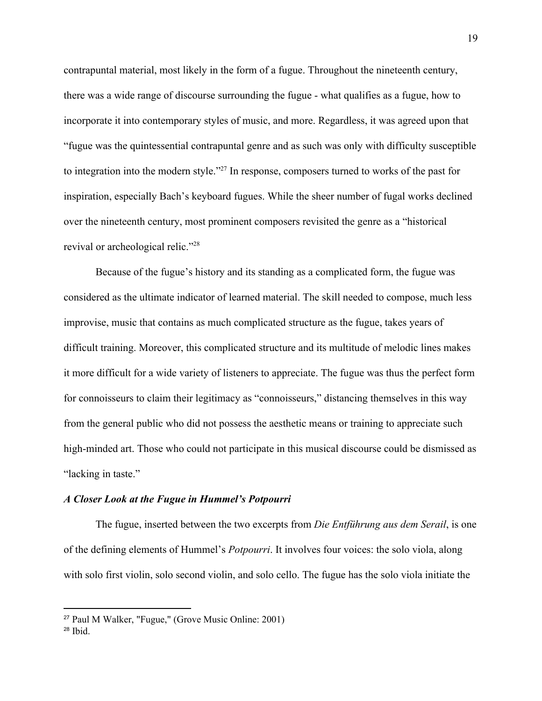contrapuntal material, most likely in the form of a fugue. Throughout the nineteenth century, there was a wide range of discourse surrounding the fugue - what qualifies as a fugue, how to incorporate it into contemporary styles of music, and more. Regardless, it was agreed upon that "fugue was the quintessential contrapuntal genre and as such was only with difficulty susceptible to integration into the modern style."<sup>27</sup> In response, composers turned to works of the past for inspiration, especially Bach's keyboard fugues. While the sheer number of fugal works declined over the nineteenth century, most prominent composers revisited the genre as a "historical revival or archeological relic."<sup>28</sup>

Because of the fugue's history and its standing as a complicated form, the fugue was considered as the ultimate indicator of learned material. The skill needed to compose, much less improvise, music that contains as much complicated structure as the fugue, takes years of difficult training. Moreover, this complicated structure and its multitude of melodic lines makes it more difficult for a wide variety of listeners to appreciate. The fugue was thus the perfect form for connoisseurs to claim their legitimacy as "connoisseurs," distancing themselves in this way from the general public who did not possess the aesthetic means or training to appreciate such high-minded art. Those who could not participate in this musical discourse could be dismissed as "lacking in taste."

#### *A Closer Look at the Fugue in Hummel's Potpourri*

The fugue, inserted between the two excerpts from *Die Entführung aus dem Serail*, is one of the defining elements of Hummel's *Potpourri*. It involves four voices: the solo viola, along with solo first violin, solo second violin, and solo cello. The fugue has the solo viola initiate the

<sup>27</sup> Paul M Walker, "Fugue," (Grove Music Online: 2001)

<sup>28</sup> Ibid.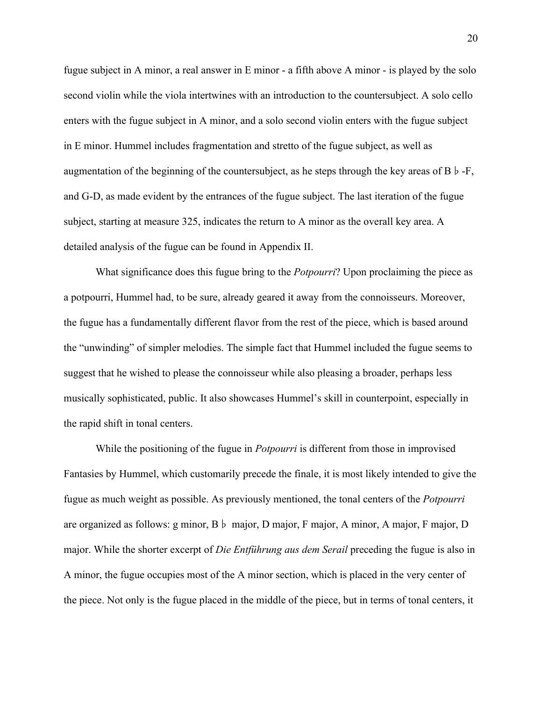fugue subject in A minor, a real answer in E minor - a fifth above A minor - is played by the solo second violin while the viola intertwines with an introduction to the countersubject. A solo cello enters with the fugue subject in A minor, and a solo second violin enters with the fugue subject in E minor. Hummel includes fragmentation and stretto of the fugue subject, as well as augmentation of the beginning of the countersubject, as he steps through the key areas of B  $\flat$ -F, and G-D, as made evident by the entrances of the fugue subject. The last iteration of the fugue subject, starting at measure 325, indicates the return to A minor as the overall key area. A detailed analysis of the fugue can be found in Appendix II.

What significance does this fugue bring to the *Potpourri*? Upon proclaiming the piece as a potpourri, Hummel had, to be sure, already geared it away from the connoisseurs. Moreover, the fugue has a fundamentally different flavor from the rest of the piece, which is based around the "unwinding" of simpler melodies. The simple fact that Hummel included the fugue seems to suggest that he wished to please the connoisseur while also pleasing a broader, perhaps less musically sophisticated, public. It also showcases Hummel's skill in counterpoint, especially in the rapid shift in tonal centers.

While the positioning of the fugue in *Potpourri* is different from those in improvised Fantasies by Hummel, which customarily precede the finale, it is most likely intended to give the fugue as much weight as possible. As previously mentioned, the tonal centers of the *Potpourri* are organized as follows: g minor, B♭ major, D major, F major, A minor, A major, F major, D major. While the shorter excerpt of *Die Entführung aus dem Serail* preceding the fugue is also in A minor, the fugue occupies most of the A minor section, which is placed in the very center of the piece. Not only is the fugue placed in the middle of the piece, but in terms of tonal centers, it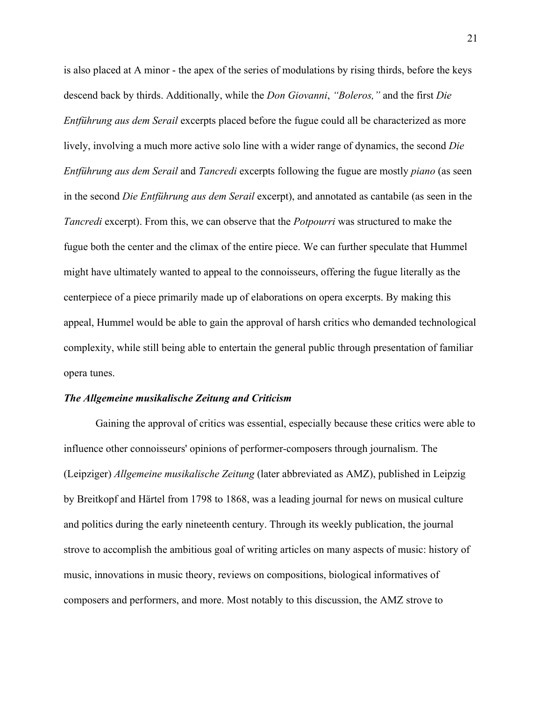is also placed at A minor - the apex of the series of modulations by rising thirds, before the keys descend back by thirds. Additionally, while the *Don Giovanni*, *"Boleros,"* and the first *Die Entführung aus dem Serail* excerpts placed before the fugue could all be characterized as more lively, involving a much more active solo line with a wider range of dynamics, the second *Die Entführung aus dem Serail* and *Tancredi* excerpts following the fugue are mostly *piano* (as seen in the second *Die Entführung aus dem Serail* excerpt), and annotated as cantabile (as seen in the *Tancredi* excerpt). From this, we can observe that the *Potpourri* was structured to make the fugue both the center and the climax of the entire piece. We can further speculate that Hummel might have ultimately wanted to appeal to the connoisseurs, offering the fugue literally as the centerpiece of a piece primarily made up of elaborations on opera excerpts. By making this appeal, Hummel would be able to gain the approval of harsh critics who demanded technological complexity, while still being able to entertain the general public through presentation of familiar opera tunes.

#### *The Allgemeine musikalische Zeitung and Criticism*

Gaining the approval of critics was essential, especially because these critics were able to influence other connoisseurs' opinions of performer-composers through journalism. The (Leipziger) *Allgemeine musikalische Zeitung* (later abbreviated as AMZ), published in Leipzig by Breitkopf and Härtel from 1798 to 1868, was a leading journal for news on musical culture and politics during the early nineteenth century. Through its weekly publication, the journal strove to accomplish the ambitious goal of writing articles on many aspects of music: history of music, innovations in music theory, reviews on compositions, biological informatives of composers and performers, and more. Most notably to this discussion, the AMZ strove to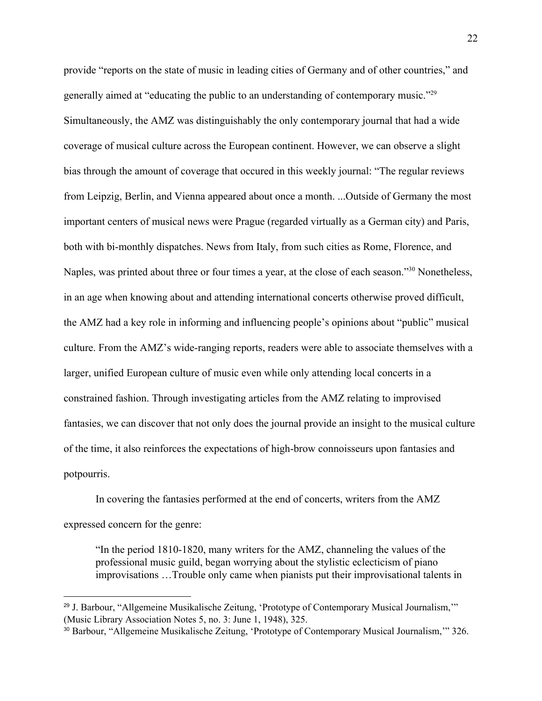provide "reports on the state of music in leading cities of Germany and of other countries," and generally aimed at "educating the public to an understanding of contemporary music."<sup>29</sup> Simultaneously, the AMZ was distinguishably the only contemporary journal that had a wide coverage of musical culture across the European continent. However, we can observe a slight bias through the amount of coverage that occured in this weekly journal: "The regular reviews from Leipzig, Berlin, and Vienna appeared about once a month. ...Outside of Germany the most important centers of musical news were Prague (regarded virtually as a German city) and Paris, both with bi-monthly dispatches. News from Italy, from such cities as Rome, Florence, and Naples, was printed about three or four times a year, at the close of each season."<sup>30</sup> Nonetheless, in an age when knowing about and attending international concerts otherwise proved difficult, the AMZ had a key role in informing and influencing people's opinions about "public" musical culture. From the AMZ's wide-ranging reports, readers were able to associate themselves with a larger, unified European culture of music even while only attending local concerts in a constrained fashion. Through investigating articles from the AMZ relating to improvised fantasies, we can discover that not only does the journal provide an insight to the musical culture of the time, it also reinforces the expectations of high-brow connoisseurs upon fantasies and potpourris.

In covering the fantasies performed at the end of concerts, writers from the AMZ expressed concern for the genre:

"In the period 1810-1820, many writers for the AMZ, channeling the values of the professional music guild, began worrying about the stylistic eclecticism of piano improvisations …Trouble only came when pianists put their improvisational talents in

<sup>29</sup> J. Barbour, "Allgemeine Musikalische Zeitung, 'Prototype of Contemporary Musical Journalism,'" (Music Library Association Notes 5, no. 3: June 1, 1948), 325.

<sup>30</sup> Barbour, "Allgemeine Musikalische Zeitung, 'Prototype of Contemporary Musical Journalism,'" 326.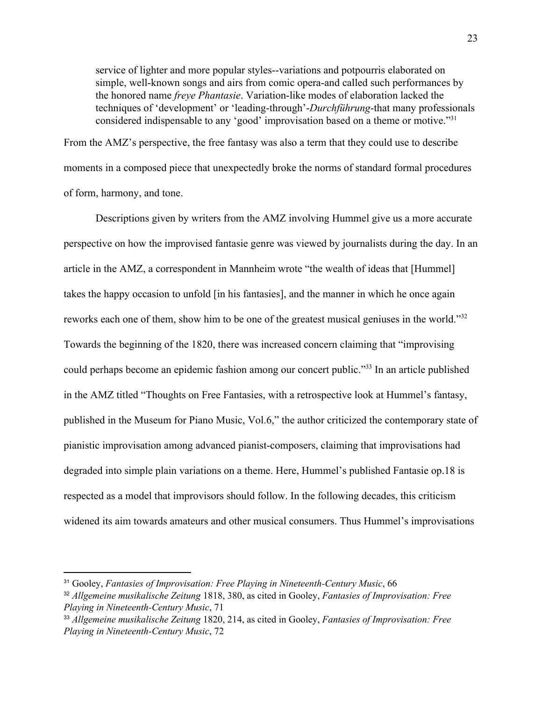service of lighter and more popular styles--variations and potpourris elaborated on simple, well-known songs and airs from comic opera-and called such performances by the honored name *freye Phantasie*. Variation-like modes of elaboration lacked the techniques of 'development' or 'leading-through'-*Durchführung*-that many professionals considered indispensable to any 'good' improvisation based on a theme or motive."<sup>31</sup>

From the AMZ's perspective, the free fantasy was also a term that they could use to describe moments in a composed piece that unexpectedly broke the norms of standard formal procedures of form, harmony, and tone.

Descriptions given by writers from the AMZ involving Hummel give us a more accurate perspective on how the improvised fantasie genre was viewed by journalists during the day. In an article in the AMZ, a correspondent in Mannheim wrote "the wealth of ideas that [Hummel] takes the happy occasion to unfold [in his fantasies], and the manner in which he once again reworks each one of them, show him to be one of the greatest musical geniuses in the world."<sup>32</sup> Towards the beginning of the 1820, there was increased concern claiming that "improvising could perhaps become an epidemic fashion among our concert public."<sup>33</sup> In an article published in the AMZ titled "Thoughts on Free Fantasies, with a retrospective look at Hummel's fantasy, published in the Museum for Piano Music, Vol.6," the author criticized the contemporary state of pianistic improvisation among advanced pianist-composers, claiming that improvisations had degraded into simple plain variations on a theme. Here, Hummel's published Fantasie op.18 is respected as a model that improvisors should follow. In the following decades, this criticism widened its aim towards amateurs and other musical consumers. Thus Hummel's improvisations

<sup>31</sup> Gooley, *Fantasies of Improvisation: Free Playing in Nineteenth-Century Music*, 66

<sup>32</sup> *Allgemeine musikalische Zeitung* 1818, 380, as cited in Gooley, *Fantasies of Improvisation: Free Playing in Nineteenth-Century Music*, 71

<sup>33</sup> *Allgemeine musikalische Zeitung* 1820, 214, as cited in Gooley, *Fantasies of Improvisation: Free Playing in Nineteenth-Century Music*, 72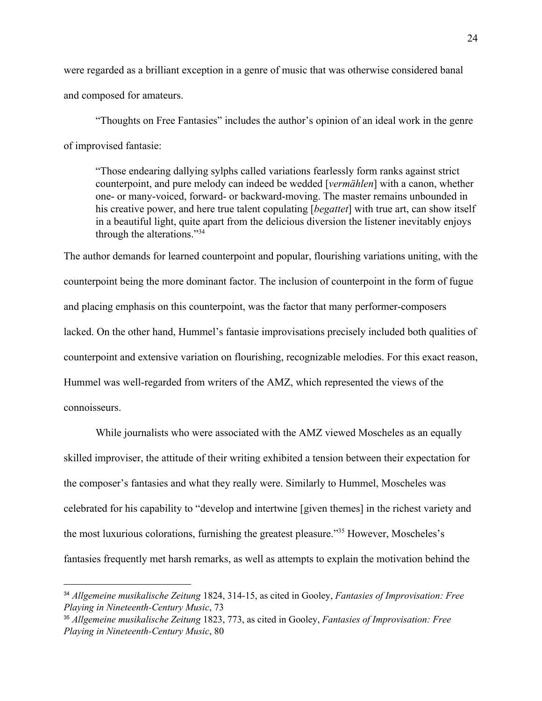were regarded as a brilliant exception in a genre of music that was otherwise considered banal and composed for amateurs.

"Thoughts on Free Fantasies" includes the author's opinion of an ideal work in the genre of improvised fantasie:

"Those endearing dallying sylphs called variations fearlessly form ranks against strict counterpoint, and pure melody can indeed be wedded [*vermählen*] with a canon, whether one- or many-voiced, forward- or backward-moving. The master remains unbounded in his creative power, and here true talent copulating [*begattet*] with true art, can show itself in a beautiful light, quite apart from the delicious diversion the listener inevitably enjoys through the alterations."<sup>34</sup>

The author demands for learned counterpoint and popular, flourishing variations uniting, with the counterpoint being the more dominant factor. The inclusion of counterpoint in the form of fugue and placing emphasis on this counterpoint, was the factor that many performer-composers lacked. On the other hand, Hummel's fantasie improvisations precisely included both qualities of counterpoint and extensive variation on flourishing, recognizable melodies. For this exact reason, Hummel was well-regarded from writers of the AMZ, which represented the views of the connoisseurs.

While journalists who were associated with the AMZ viewed Moscheles as an equally skilled improviser, the attitude of their writing exhibited a tension between their expectation for the composer's fantasies and what they really were. Similarly to Hummel, Moscheles was celebrated for his capability to "develop and intertwine [given themes] in the richest variety and the most luxurious colorations, furnishing the greatest pleasure."<sup>35</sup> However, Moscheles's fantasies frequently met harsh remarks, as well as attempts to explain the motivation behind the

<sup>34</sup> *Allgemeine musikalische Zeitung* 1824, 314-15, as cited in Gooley, *Fantasies of Improvisation: Free Playing in Nineteenth-Century Music*, 73

<sup>35</sup> *Allgemeine musikalische Zeitung* 1823, 773, as cited in Gooley, *Fantasies of Improvisation: Free Playing in Nineteenth-Century Music*, 80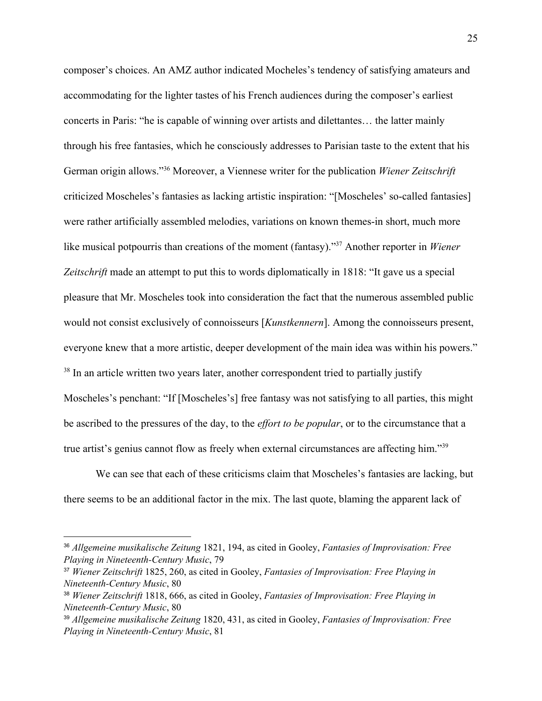composer's choices. An AMZ author indicated Mocheles's tendency of satisfying amateurs and accommodating for the lighter tastes of his French audiences during the composer's earliest concerts in Paris: "he is capable of winning over artists and dilettantes… the latter mainly through his free fantasies, which he consciously addresses to Parisian taste to the extent that his German origin allows."<sup>36</sup> Moreover, a Viennese writer for the publication *Wiener Zeitschrift* criticized Moscheles's fantasies as lacking artistic inspiration: "[Moscheles' so-called fantasies] were rather artificially assembled melodies, variations on known themes-in short, much more like musical potpourris than creations of the moment (fantasy)."<sup>37</sup> Another reporter in *Wiener Zeitschrift* made an attempt to put this to words diplomatically in 1818: "It gave us a special pleasure that Mr. Moscheles took into consideration the fact that the numerous assembled public would not consist exclusively of connoisseurs [*Kunstkennern*]. Among the connoisseurs present, everyone knew that a more artistic, deeper development of the main idea was within his powers."  $38$  In an article written two years later, another correspondent tried to partially justify Moscheles's penchant: "If [Moscheles's] free fantasy was not satisfying to all parties, this might be ascribed to the pressures of the day, to the *effort to be popular*, or to the circumstance that a true artist's genius cannot flow as freely when external circumstances are affecting him."<sup>39</sup>

We can see that each of these criticisms claim that Moscheles's fantasies are lacking, but there seems to be an additional factor in the mix. The last quote, blaming the apparent lack of

<sup>36</sup> *Allgemeine musikalische Zeitung* 1821, 194, as cited in Gooley, *Fantasies of Improvisation: Free Playing in Nineteenth-Century Music*, 79

<sup>37</sup> *Wiener Zeitschrift* 1825, 260, as cited in Gooley, *Fantasies of Improvisation: Free Playing in Nineteenth-Century Music*, 80

<sup>38</sup> *Wiener Zeitschrift* 1818, 666, as cited in Gooley, *Fantasies of Improvisation: Free Playing in Nineteenth-Century Music*, 80

<sup>39</sup> *Allgemeine musikalische Zeitung* 1820, 431, as cited in Gooley, *Fantasies of Improvisation: Free Playing in Nineteenth-Century Music*, 81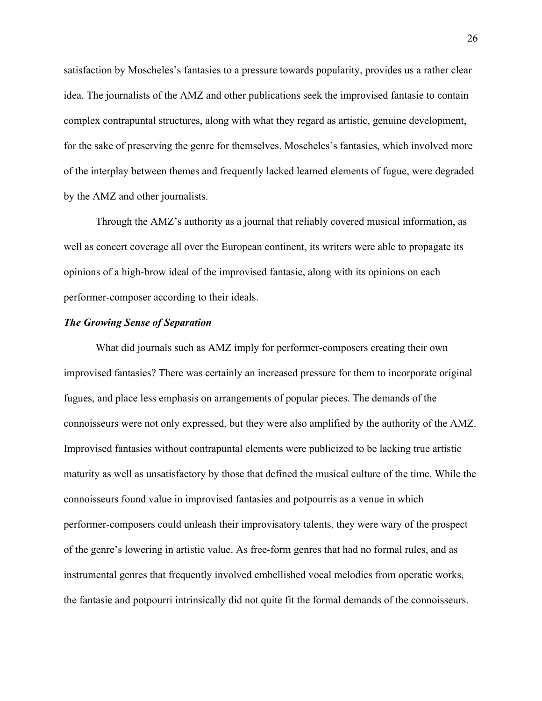satisfaction by Moscheles's fantasies to a pressure towards popularity, provides us a rather clear idea. The journalists of the AMZ and other publications seek the improvised fantasie to contain complex contrapuntal structures, along with what they regard as artistic, genuine development, for the sake of preserving the genre for themselves. Moscheles's fantasies, which involved more of the interplay between themes and frequently lacked learned elements of fugue, were degraded by the AMZ and other journalists.

Through the AMZ's authority as a journal that reliably covered musical information, as well as concert coverage all over the European continent, its writers were able to propagate its opinions of a high-brow ideal of the improvised fantasie, along with its opinions on each performer-composer according to their ideals.

### *The Growing Sense of Separation*

What did journals such as AMZ imply for performer-composers creating their own improvised fantasies? There was certainly an increased pressure for them to incorporate original fugues, and place less emphasis on arrangements of popular pieces. The demands of the connoisseurs were not only expressed, but they were also amplified by the authority of the AMZ. Improvised fantasies without contrapuntal elements were publicized to be lacking true artistic maturity as well as unsatisfactory by those that defined the musical culture of the time. While the connoisseurs found value in improvised fantasies and potpourris as a venue in which performer-composers could unleash their improvisatory talents, they were wary of the prospect of the genre's lowering in artistic value. As free-form genres that had no formal rules, and as instrumental genres that frequently involved embellished vocal melodies from operatic works, the fantasie and potpourri intrinsically did not quite fit the formal demands of the connoisseurs.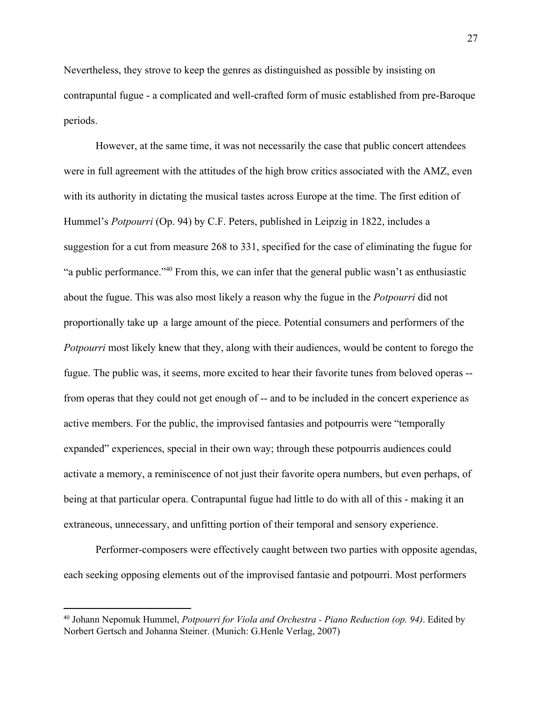Nevertheless, they strove to keep the genres as distinguished as possible by insisting on contrapuntal fugue - a complicated and well-crafted form of music established from pre-Baroque periods.

However, at the same time, it was not necessarily the case that public concert attendees were in full agreement with the attitudes of the high brow critics associated with the AMZ, even with its authority in dictating the musical tastes across Europe at the time. The first edition of Hummel's *Potpourri* (Op. 94) by C.F. Peters, published in Leipzig in 1822, includes a suggestion for a cut from measure 268 to 331, specified for the case of eliminating the fugue for "a public performance."<sup>40</sup> From this, we can infer that the general public wasn't as enthusiastic about the fugue. This was also most likely a reason why the fugue in the *Potpourri* did not proportionally take up a large amount of the piece. Potential consumers and performers of the *Potpourri* most likely knew that they, along with their audiences, would be content to forego the fugue. The public was, it seems, more excited to hear their favorite tunes from beloved operas - from operas that they could not get enough of -- and to be included in the concert experience as active members. For the public, the improvised fantasies and potpourris were "temporally expanded" experiences, special in their own way; through these potpourris audiences could activate a memory, a reminiscence of not just their favorite opera numbers, but even perhaps, of being at that particular opera. Contrapuntal fugue had little to do with all of this - making it an extraneous, unnecessary, and unfitting portion of their temporal and sensory experience.

Performer-composers were effectively caught between two parties with opposite agendas, each seeking opposing elements out of the improvised fantasie and potpourri. Most performers

<sup>40</sup> Johann Nepomuk Hummel, *Potpourri for Viola and Orchestra - Piano Reduction (op. 94)*. Edited by Norbert Gertsch and Johanna Steiner. (Munich: G.Henle Verlag, 2007)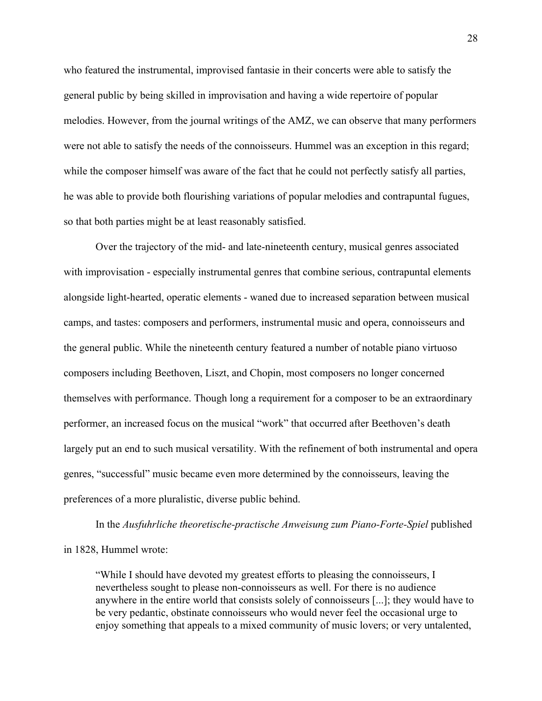who featured the instrumental, improvised fantasie in their concerts were able to satisfy the general public by being skilled in improvisation and having a wide repertoire of popular melodies. However, from the journal writings of the AMZ, we can observe that many performers were not able to satisfy the needs of the connoisseurs. Hummel was an exception in this regard; while the composer himself was aware of the fact that he could not perfectly satisfy all parties, he was able to provide both flourishing variations of popular melodies and contrapuntal fugues, so that both parties might be at least reasonably satisfied.

Over the trajectory of the mid- and late-nineteenth century, musical genres associated with improvisation - especially instrumental genres that combine serious, contrapuntal elements alongside light-hearted, operatic elements - waned due to increased separation between musical camps, and tastes: composers and performers, instrumental music and opera, connoisseurs and the general public. While the nineteenth century featured a number of notable piano virtuoso composers including Beethoven, Liszt, and Chopin, most composers no longer concerned themselves with performance. Though long a requirement for a composer to be an extraordinary performer, an increased focus on the musical "work" that occurred after Beethoven's death largely put an end to such musical versatility. With the refinement of both instrumental and opera genres, "successful" music became even more determined by the connoisseurs, leaving the preferences of a more pluralistic, diverse public behind.

In the *Ausfuhrliche theoretische-practische Anweisung zum Piano-Forte-Spiel* published in 1828, Hummel wrote:

"While I should have devoted my greatest efforts to pleasing the connoisseurs, I nevertheless sought to please non-connoisseurs as well. For there is no audience anywhere in the entire world that consists solely of connoisseurs [...]; they would have to be very pedantic, obstinate connoisseurs who would never feel the occasional urge to enjoy something that appeals to a mixed community of music lovers; or very untalented,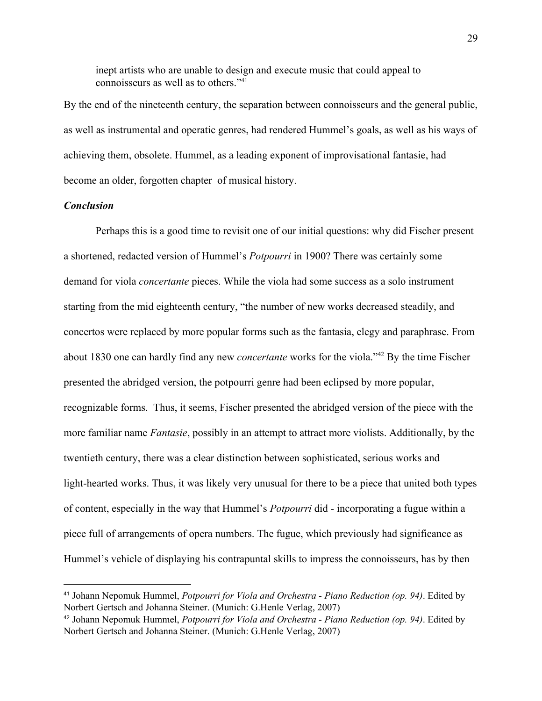inept artists who are unable to design and execute music that could appeal to connoisseurs as well as to others."<sup>41</sup>

By the end of the nineteenth century, the separation between connoisseurs and the general public, as well as instrumental and operatic genres, had rendered Hummel's goals, as well as his ways of achieving them, obsolete. Hummel, as a leading exponent of improvisational fantasie, had become an older, forgotten chapter of musical history.

# *Conclusion*

Perhaps this is a good time to revisit one of our initial questions: why did Fischer present a shortened, redacted version of Hummel's *Potpourri* in 1900? There was certainly some demand for viola *concertante* pieces. While the viola had some success as a solo instrument starting from the mid eighteenth century, "the number of new works decreased steadily, and concertos were replaced by more popular forms such as the fantasia, elegy and paraphrase. From about 1830 one can hardly find any new *concertante* works for the viola."<sup>42</sup> By the time Fischer presented the abridged version, the potpourri genre had been eclipsed by more popular, recognizable forms. Thus, it seems, Fischer presented the abridged version of the piece with the more familiar name *Fantasie*, possibly in an attempt to attract more violists. Additionally, by the twentieth century, there was a clear distinction between sophisticated, serious works and light-hearted works. Thus, it was likely very unusual for there to be a piece that united both types of content, especially in the way that Hummel's *Potpourri* did - incorporating a fugue within a piece full of arrangements of opera numbers. The fugue, which previously had significance as Hummel's vehicle of displaying his contrapuntal skills to impress the connoisseurs, has by then

<sup>41</sup> Johann Nepomuk Hummel, *Potpourri for Viola and Orchestra - Piano Reduction (op. 94)*. Edited by Norbert Gertsch and Johanna Steiner. (Munich: G.Henle Verlag, 2007)

<sup>42</sup> Johann Nepomuk Hummel, *Potpourri for Viola and Orchestra - Piano Reduction (op. 94)*. Edited by Norbert Gertsch and Johanna Steiner. (Munich: G.Henle Verlag, 2007)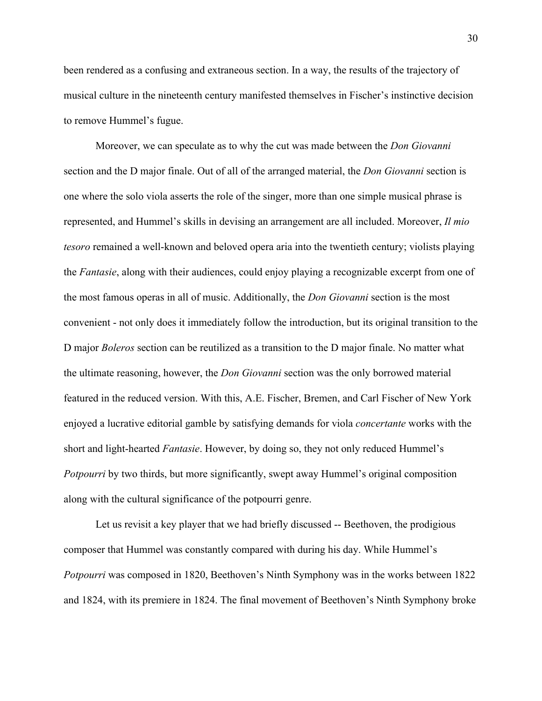been rendered as a confusing and extraneous section. In a way, the results of the trajectory of musical culture in the nineteenth century manifested themselves in Fischer's instinctive decision to remove Hummel's fugue.

Moreover, we can speculate as to why the cut was made between the *Don Giovanni* section and the D major finale. Out of all of the arranged material, the *Don Giovanni* section is one where the solo viola asserts the role of the singer, more than one simple musical phrase is represented, and Hummel's skills in devising an arrangement are all included. Moreover, *Il mio tesoro* remained a well-known and beloved opera aria into the twentieth century; violists playing the *Fantasie*, along with their audiences, could enjoy playing a recognizable excerpt from one of the most famous operas in all of music. Additionally, the *Don Giovanni* section is the most convenient - not only does it immediately follow the introduction, but its original transition to the D major *Boleros* section can be reutilized as a transition to the D major finale. No matter what the ultimate reasoning, however, the *Don Giovanni* section was the only borrowed material featured in the reduced version. With this, A.E. Fischer, Bremen, and Carl Fischer of New York enjoyed a lucrative editorial gamble by satisfying demands for viola *concertante* works with the short and light-hearted *Fantasie*. However, by doing so, they not only reduced Hummel's *Potpourri* by two thirds, but more significantly, swept away Hummel's original composition along with the cultural significance of the potpourri genre.

Let us revisit a key player that we had briefly discussed -- Beethoven, the prodigious composer that Hummel was constantly compared with during his day. While Hummel's *Potpourri* was composed in 1820, Beethoven's Ninth Symphony was in the works between 1822 and 1824, with its premiere in 1824. The final movement of Beethoven's Ninth Symphony broke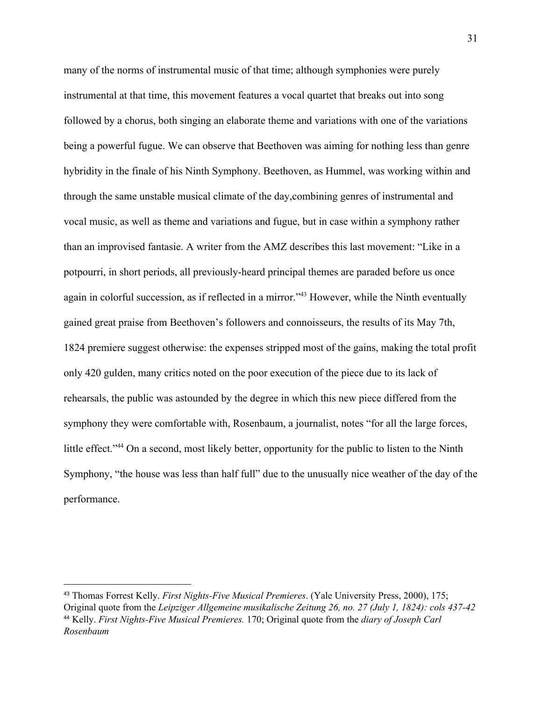many of the norms of instrumental music of that time; although symphonies were purely instrumental at that time, this movement features a vocal quartet that breaks out into song followed by a chorus, both singing an elaborate theme and variations with one of the variations being a powerful fugue. We can observe that Beethoven was aiming for nothing less than genre hybridity in the finale of his Ninth Symphony. Beethoven, as Hummel, was working within and through the same unstable musical climate of the day,combining genres of instrumental and vocal music, as well as theme and variations and fugue, but in case within a symphony rather than an improvised fantasie. A writer from the AMZ describes this last movement: "Like in a potpourri, in short periods, all previously-heard principal themes are paraded before us once again in colorful succession, as if reflected in a mirror."<sup>43</sup> However, while the Ninth eventually gained great praise from Beethoven's followers and connoisseurs, the results of its May 7th, 1824 premiere suggest otherwise: the expenses stripped most of the gains, making the total profit only 420 gulden, many critics noted on the poor execution of the piece due to its lack of rehearsals, the public was astounded by the degree in which this new piece differed from the symphony they were comfortable with, Rosenbaum, a journalist, notes "for all the large forces, little effect."<sup>44</sup> On a second, most likely better, opportunity for the public to listen to the Ninth Symphony, "the house was less than half full" due to the unusually nice weather of the day of the performance.

<sup>43</sup> Thomas Forrest Kelly. *First Nights-Five Musical Premieres*. (Yale University Press, 2000), 175; Original quote from the *Leipziger Allgemeine musikalische Zeitung 26, no. 27 (July 1, 1824): cols 437-42* <sup>44</sup> Kelly. *First Nights-Five Musical Premieres.* 170; Original quote from the *diary of Joseph Carl Rosenbaum*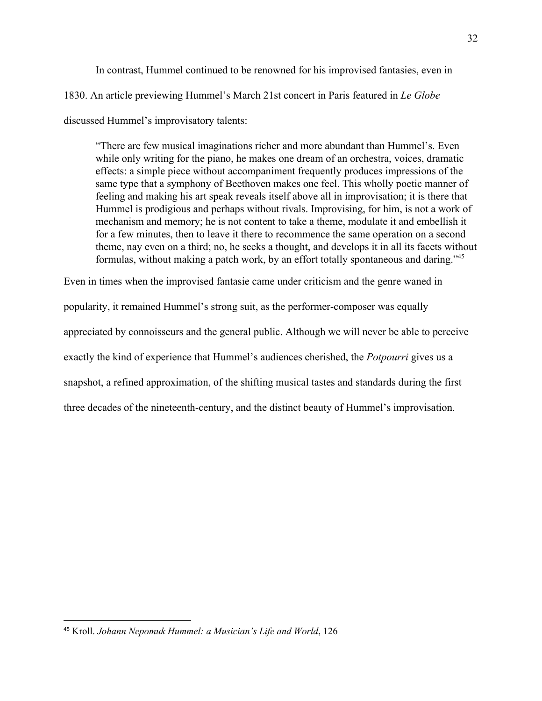In contrast, Hummel continued to be renowned for his improvised fantasies, even in 1830. An article previewing Hummel's March 21st concert in Paris featured in *Le Globe* discussed Hummel's improvisatory talents:

"There are few musical imaginations richer and more abundant than Hummel's. Even while only writing for the piano, he makes one dream of an orchestra, voices, dramatic effects: a simple piece without accompaniment frequently produces impressions of the same type that a symphony of Beethoven makes one feel. This wholly poetic manner of feeling and making his art speak reveals itself above all in improvisation; it is there that Hummel is prodigious and perhaps without rivals. Improvising, for him, is not a work of mechanism and memory; he is not content to take a theme, modulate it and embellish it for a few minutes, then to leave it there to recommence the same operation on a second theme, nay even on a third; no, he seeks a thought, and develops it in all its facets without formulas, without making a patch work, by an effort totally spontaneous and daring."<sup>45</sup>

Even in times when the improvised fantasie came under criticism and the genre waned in

popularity, it remained Hummel's strong suit, as the performer-composer was equally

appreciated by connoisseurs and the general public. Although we will never be able to perceive

exactly the kind of experience that Hummel's audiences cherished, the *Potpourri* gives us a

snapshot, a refined approximation, of the shifting musical tastes and standards during the first

three decades of the nineteenth-century, and the distinct beauty of Hummel's improvisation.

<sup>45</sup> Kroll. *Johann Nepomuk Hummel: a Musician's Life and World*, 126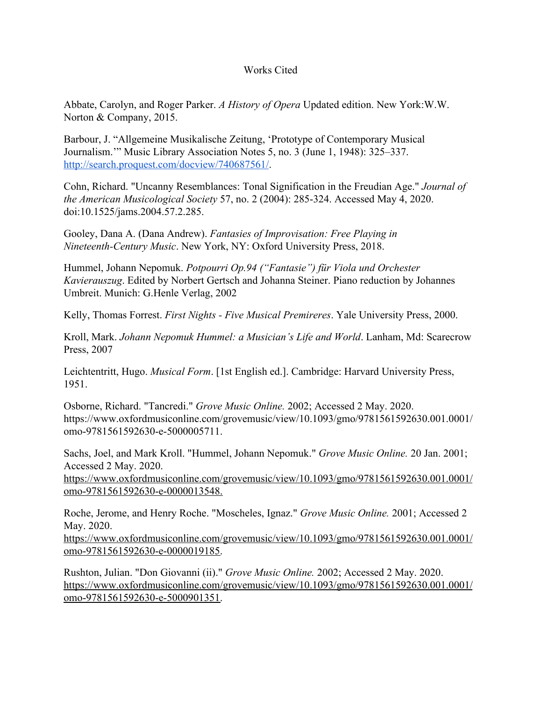# Works Cited

Abbate, Carolyn, and Roger Parker. *A History of Opera* Updated edition. New York:W.W. Norton & Company, 2015.

Barbour, J. "Allgemeine Musikalische Zeitung, 'Prototype of Contemporary Musical Journalism.'" Music Library Association Notes 5, no. 3 (June 1, 1948): 325–337. [http://search.proquest.com/docview/740687561/.](http://search.proquest.com/docview/740687561/)

Cohn, Richard. "Uncanny Resemblances: Tonal Signification in the Freudian Age." *Journal of the American Musicological Society* 57, no. 2 (2004): 285-324. Accessed May 4, 2020. doi:10.1525/jams.2004.57.2.285.

Gooley, Dana A. (Dana Andrew). *Fantasies of Improvisation: Free Playing in Nineteenth-Century Music*. New York, NY: Oxford University Press, 2018.

Hummel, Johann Nepomuk. *Potpourri Op.94 ("Fantasie") für Viola und Orchester Kavierauszug*. Edited by Norbert Gertsch and Johanna Steiner. Piano reduction by Johannes Umbreit. Munich: G.Henle Verlag, 2002

Kelly, Thomas Forrest. *First Nights - Five Musical Premireres*. Yale University Press, 2000.

Kroll, Mark. *Johann Nepomuk Hummel: a Musician's Life and World*. Lanham, Md: Scarecrow Press, 2007

Leichtentritt, Hugo. *Musical Form*. [1st English ed.]. Cambridge: Harvard University Press, 1951.

Osborne, Richard. "Tancredi." *Grove Music Online.* 2002; Accessed 2 May. 2020. https://www.oxfordmusiconline.com/grovemusic/view/10.1093/gmo/9781561592630.001.0001/ omo-9781561592630-e-5000005711.

Sachs, Joel, and Mark Kroll. "Hummel, Johann Nepomuk." *Grove Music Online.* 20 Jan. 2001; Accessed 2 May. 2020.

[https://www.oxfordmusiconline.com/grovemusic/view/10.1093/gmo/9781561592630.001.0001/](https://www.oxfordmusiconline.com/grovemusic/view/10.1093/gmo/9781561592630.001.0001/omo-9781561592630-e-0000013548) [omo-9781561592630-e-0000013548.](https://www.oxfordmusiconline.com/grovemusic/view/10.1093/gmo/9781561592630.001.0001/omo-9781561592630-e-0000013548)

Roche, Jerome, and Henry Roche. "Moscheles, Ignaz." *Grove Music Online.* 2001; Accessed 2 May. 2020.

[https://www.oxfordmusiconline.com/grovemusic/view/10.1093/gmo/9781561592630.001.0001/](https://www.oxfordmusiconline.com/grovemusic/view/10.1093/gmo/9781561592630.001.0001/omo-9781561592630-e-0000019185) [omo-9781561592630-e-0000019185.](https://www.oxfordmusiconline.com/grovemusic/view/10.1093/gmo/9781561592630.001.0001/omo-9781561592630-e-0000019185)

Rushton, Julian. "Don Giovanni (ii)." *Grove Music Online.* 2002; Accessed 2 May. 2020. [https://www.oxfordmusiconline.com/grovemusic/view/10.1093/gmo/9781561592630.001.0001/](https://www.oxfordmusiconline.com/grovemusic/view/10.1093/gmo/9781561592630.001.0001/omo-9781561592630-e-5000901351) [omo-9781561592630-e-5000901351.](https://www.oxfordmusiconline.com/grovemusic/view/10.1093/gmo/9781561592630.001.0001/omo-9781561592630-e-5000901351)